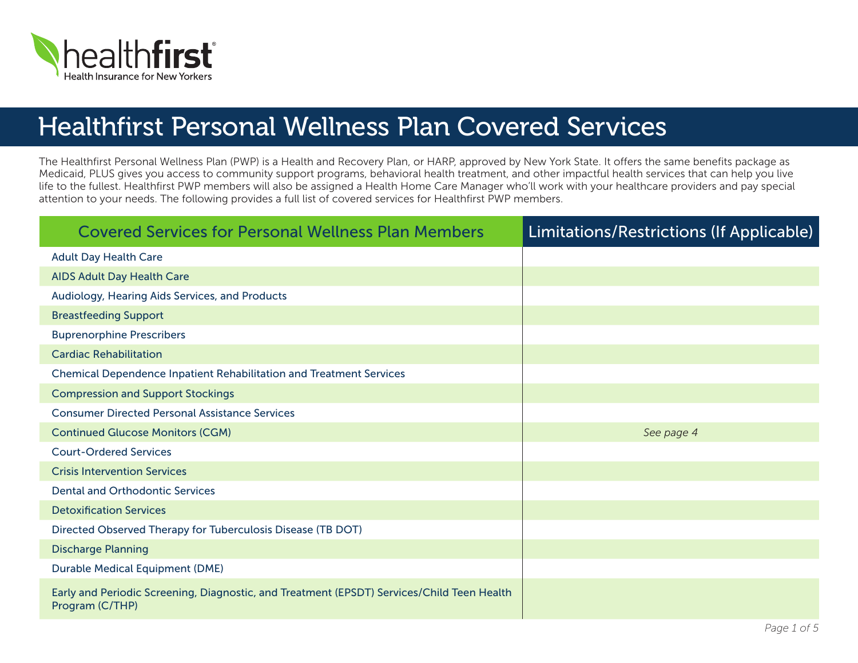

## Healthfirst Personal Wellness Plan Covered Services

The Healthfirst Personal Wellness Plan (PWP) is a Health and Recovery Plan, or HARP, approved by New York State. It offers the same benefits package as Medicaid, PLUS gives you access to community support programs, behavioral health treatment, and other impactful health services that can help you live life to the fullest. Healthfirst PWP members will also be assigned a Health Home Care Manager who'll work with your healthcare providers and pay special attention to your needs. The following provides a full list of covered services for Healthfirst PWP members.

| <b>Covered Services for Personal Wellness Plan Members</b>                                                    | <b>Limitations/Restrictions (If Applicable)</b> |
|---------------------------------------------------------------------------------------------------------------|-------------------------------------------------|
| <b>Adult Day Health Care</b>                                                                                  |                                                 |
| <b>AIDS Adult Day Health Care</b>                                                                             |                                                 |
| Audiology, Hearing Aids Services, and Products                                                                |                                                 |
| <b>Breastfeeding Support</b>                                                                                  |                                                 |
| <b>Buprenorphine Prescribers</b>                                                                              |                                                 |
| <b>Cardiac Rehabilitation</b>                                                                                 |                                                 |
| <b>Chemical Dependence Inpatient Rehabilitation and Treatment Services</b>                                    |                                                 |
| <b>Compression and Support Stockings</b>                                                                      |                                                 |
| <b>Consumer Directed Personal Assistance Services</b>                                                         |                                                 |
| <b>Continued Glucose Monitors (CGM)</b>                                                                       | See page 4                                      |
| <b>Court-Ordered Services</b>                                                                                 |                                                 |
| <b>Crisis Intervention Services</b>                                                                           |                                                 |
| <b>Dental and Orthodontic Services</b>                                                                        |                                                 |
| <b>Detoxification Services</b>                                                                                |                                                 |
| Directed Observed Therapy for Tuberculosis Disease (TB DOT)                                                   |                                                 |
| <b>Discharge Planning</b>                                                                                     |                                                 |
| <b>Durable Medical Equipment (DME)</b>                                                                        |                                                 |
| Early and Periodic Screening, Diagnostic, and Treatment (EPSDT) Services/Child Teen Health<br>Program (C/THP) |                                                 |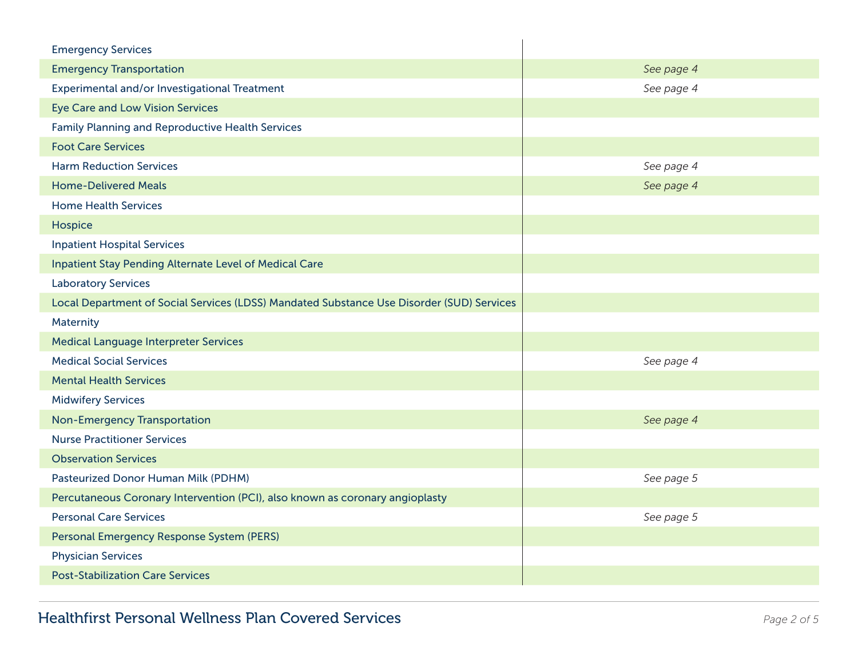| <b>Emergency Services</b>                                                                 |            |
|-------------------------------------------------------------------------------------------|------------|
| <b>Emergency Transportation</b>                                                           | See page 4 |
| Experimental and/or Investigational Treatment                                             | See page 4 |
| <b>Eye Care and Low Vision Services</b>                                                   |            |
| <b>Family Planning and Reproductive Health Services</b>                                   |            |
| <b>Foot Care Services</b>                                                                 |            |
| <b>Harm Reduction Services</b>                                                            | See page 4 |
| <b>Home-Delivered Meals</b>                                                               | See page 4 |
| <b>Home Health Services</b>                                                               |            |
| Hospice                                                                                   |            |
| <b>Inpatient Hospital Services</b>                                                        |            |
| Inpatient Stay Pending Alternate Level of Medical Care                                    |            |
| <b>Laboratory Services</b>                                                                |            |
| Local Department of Social Services (LDSS) Mandated Substance Use Disorder (SUD) Services |            |
| Maternity                                                                                 |            |
| <b>Medical Language Interpreter Services</b>                                              |            |
| <b>Medical Social Services</b>                                                            | See page 4 |
| <b>Mental Health Services</b>                                                             |            |
| <b>Midwifery Services</b>                                                                 |            |
| <b>Non-Emergency Transportation</b>                                                       | See page 4 |
| <b>Nurse Practitioner Services</b>                                                        |            |
| <b>Observation Services</b>                                                               |            |
| Pasteurized Donor Human Milk (PDHM)                                                       | See page 5 |
| Percutaneous Coronary Intervention (PCI), also known as coronary angioplasty              |            |
| <b>Personal Care Services</b>                                                             | See page 5 |
| Personal Emergency Response System (PERS)                                                 |            |
| <b>Physician Services</b>                                                                 |            |
| <b>Post-Stabilization Care Services</b>                                                   |            |
|                                                                                           |            |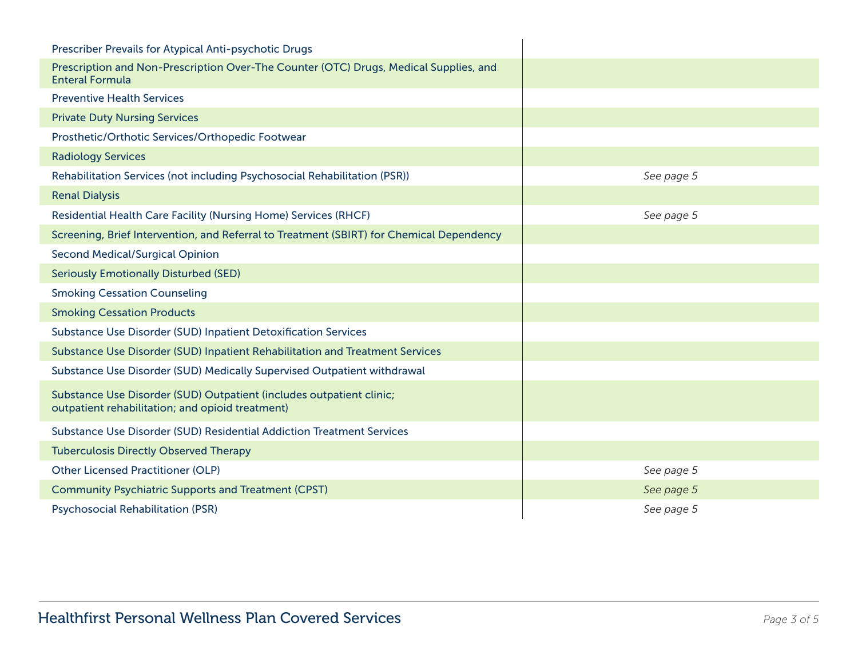| Prescriber Prevails for Atypical Anti-psychotic Drugs                                                                    |            |
|--------------------------------------------------------------------------------------------------------------------------|------------|
| Prescription and Non-Prescription Over-The Counter (OTC) Drugs, Medical Supplies, and<br><b>Enteral Formula</b>          |            |
| <b>Preventive Health Services</b>                                                                                        |            |
| <b>Private Duty Nursing Services</b>                                                                                     |            |
| Prosthetic/Orthotic Services/Orthopedic Footwear                                                                         |            |
| <b>Radiology Services</b>                                                                                                |            |
| Rehabilitation Services (not including Psychosocial Rehabilitation (PSR))                                                | See page 5 |
| <b>Renal Dialysis</b>                                                                                                    |            |
| <b>Residential Health Care Facility (Nursing Home) Services (RHCF)</b>                                                   | See page 5 |
| Screening, Brief Intervention, and Referral to Treatment (SBIRT) for Chemical Dependency                                 |            |
| <b>Second Medical/Surgical Opinion</b>                                                                                   |            |
| <b>Seriously Emotionally Disturbed (SED)</b>                                                                             |            |
| <b>Smoking Cessation Counseling</b>                                                                                      |            |
| <b>Smoking Cessation Products</b>                                                                                        |            |
| Substance Use Disorder (SUD) Inpatient Detoxification Services                                                           |            |
| Substance Use Disorder (SUD) Inpatient Rehabilitation and Treatment Services                                             |            |
| Substance Use Disorder (SUD) Medically Supervised Outpatient withdrawal                                                  |            |
| Substance Use Disorder (SUD) Outpatient (includes outpatient clinic;<br>outpatient rehabilitation; and opioid treatment) |            |
| Substance Use Disorder (SUD) Residential Addiction Treatment Services                                                    |            |
| <b>Tuberculosis Directly Observed Therapy</b>                                                                            |            |
| <b>Other Licensed Practitioner (OLP)</b>                                                                                 | See page 5 |
| <b>Community Psychiatric Supports and Treatment (CPST)</b>                                                               | See page 5 |
| <b>Psychosocial Rehabilitation (PSR)</b>                                                                                 | See page 5 |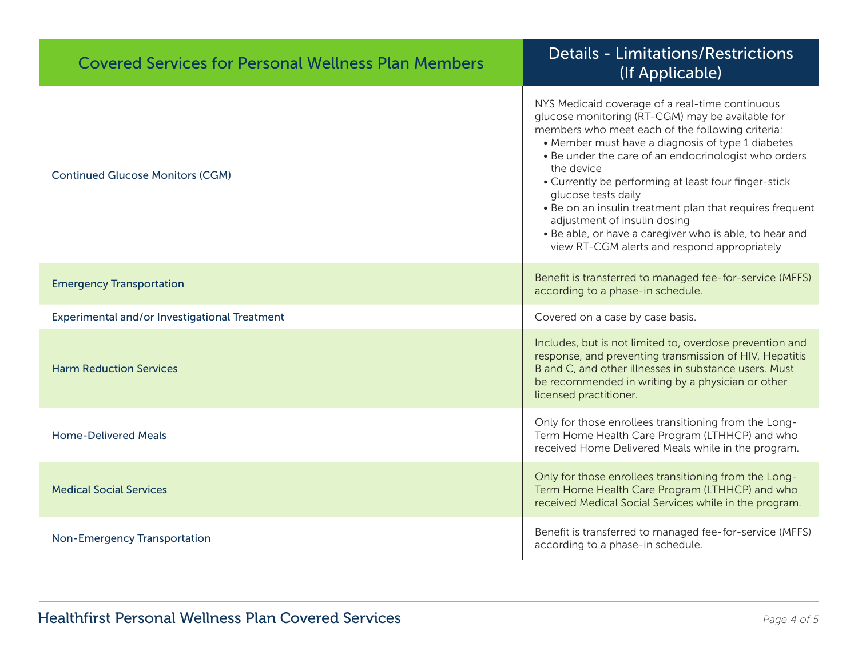| <b>Covered Services for Personal Wellness Plan Members</b> | <b>Details - Limitations/Restrictions</b><br>(If Applicable)                                                                                                                                                                                                                                                                                                                                                                                                                                                                                                             |
|------------------------------------------------------------|--------------------------------------------------------------------------------------------------------------------------------------------------------------------------------------------------------------------------------------------------------------------------------------------------------------------------------------------------------------------------------------------------------------------------------------------------------------------------------------------------------------------------------------------------------------------------|
| <b>Continued Glucose Monitors (CGM)</b>                    | NYS Medicaid coverage of a real-time continuous<br>glucose monitoring (RT-CGM) may be available for<br>members who meet each of the following criteria:<br>• Member must have a diagnosis of type 1 diabetes<br>• Be under the care of an endocrinologist who orders<br>the device<br>• Currently be performing at least four finger-stick<br>glucose tests daily<br>. Be on an insulin treatment plan that requires frequent<br>adjustment of insulin dosing<br>• Be able, or have a caregiver who is able, to hear and<br>view RT-CGM alerts and respond appropriately |
| <b>Emergency Transportation</b>                            | Benefit is transferred to managed fee-for-service (MFFS)<br>according to a phase-in schedule.                                                                                                                                                                                                                                                                                                                                                                                                                                                                            |
| Experimental and/or Investigational Treatment              | Covered on a case by case basis.                                                                                                                                                                                                                                                                                                                                                                                                                                                                                                                                         |
| <b>Harm Reduction Services</b>                             | Includes, but is not limited to, overdose prevention and<br>response, and preventing transmission of HIV, Hepatitis<br>B and C, and other illnesses in substance users. Must<br>be recommended in writing by a physician or other<br>licensed practitioner.                                                                                                                                                                                                                                                                                                              |
| <b>Home-Delivered Meals</b>                                | Only for those enrollees transitioning from the Long-<br>Term Home Health Care Program (LTHHCP) and who<br>received Home Delivered Meals while in the program.                                                                                                                                                                                                                                                                                                                                                                                                           |
| <b>Medical Social Services</b>                             | Only for those enrollees transitioning from the Long-<br>Term Home Health Care Program (LTHHCP) and who<br>received Medical Social Services while in the program.                                                                                                                                                                                                                                                                                                                                                                                                        |
| <b>Non-Emergency Transportation</b>                        | Benefit is transferred to managed fee-for-service (MFFS)<br>according to a phase-in schedule.                                                                                                                                                                                                                                                                                                                                                                                                                                                                            |